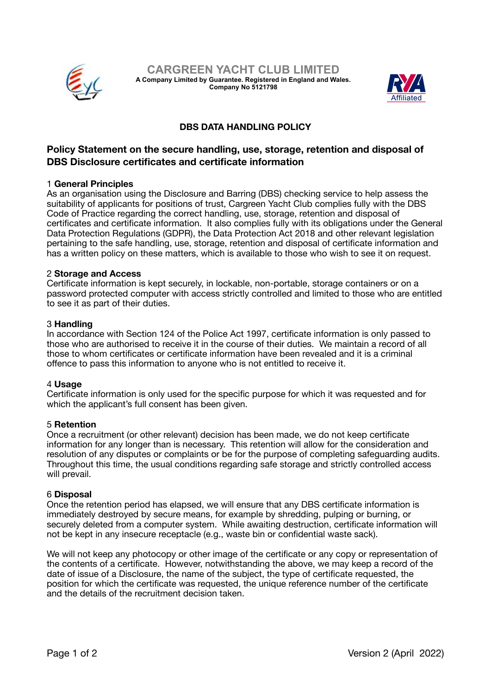



# **DBS DATA HANDLING POLICY**

# **Policy Statement on the secure handling, use, storage, retention and disposal of DBS Disclosure certificates and certificate information**

## 1 **General Principles**

As an organisation using the Disclosure and Barring (DBS) checking service to help assess the suitability of applicants for positions of trust, Cargreen Yacht Club complies fully with the DBS Code of Practice regarding the correct handling, use, storage, retention and disposal of certificates and certificate information. It also complies fully with its obligations under the General Data Protection Regulations (GDPR), the Data Protection Act 2018 and other relevant legislation pertaining to the safe handling, use, storage, retention and disposal of certificate information and has a written policy on these matters, which is available to those who wish to see it on request.

## 2 **Storage and Access**

Certificate information is kept securely, in lockable, non-portable, storage containers or on a password protected computer with access strictly controlled and limited to those who are entitled to see it as part of their duties.

## 3 **Handling**

In accordance with Section 124 of the Police Act 1997, certificate information is only passed to those who are authorised to receive it in the course of their duties. We maintain a record of all those to whom certificates or certificate information have been revealed and it is a criminal offence to pass this information to anyone who is not entitled to receive it.

#### 4 **Usage**

Certificate information is only used for the specific purpose for which it was requested and for which the applicant's full consent has been given.

#### 5 **Retention**

Once a recruitment (or other relevant) decision has been made, we do not keep certificate information for any longer than is necessary. This retention will allow for the consideration and resolution of any disputes or complaints or be for the purpose of completing safeguarding audits. Throughout this time, the usual conditions regarding safe storage and strictly controlled access will prevail.

#### 6 **Disposal**

Once the retention period has elapsed, we will ensure that any DBS certificate information is immediately destroyed by secure means, for example by shredding, pulping or burning, or securely deleted from a computer system. While awaiting destruction, certificate information will not be kept in any insecure receptacle (e.g., waste bin or confidential waste sack).

We will not keep any photocopy or other image of the certificate or any copy or representation of the contents of a certificate. However, notwithstanding the above, we may keep a record of the date of issue of a Disclosure, the name of the subject, the type of certificate requested, the position for which the certificate was requested, the unique reference number of the certificate and the details of the recruitment decision taken.